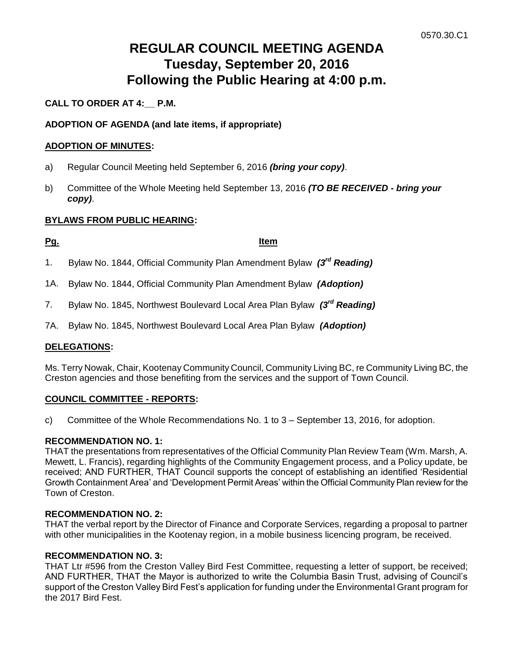# **REGULAR COUNCIL MEETING AGENDA Tuesday, September 20, 2016 Following the Public Hearing at 4:00 p.m.**

# **CALL TO ORDER AT 4:\_\_ P.M.**

# **ADOPTION OF AGENDA (and late items, if appropriate)**

### **ADOPTION OF MINUTES:**

- a) Regular Council Meeting held September 6, 2016 *(bring your copy)*.
- b) Committee of the Whole Meeting held September 13, 2016 *(TO BE RECEIVED - bring your copy)*.

### **BYLAWS FROM PUBLIC HEARING:**

### **Pg. Item**

- 1. Bylaw No. 1844, Official Community Plan Amendment Bylaw *(3rd Reading)*
- 1A. Bylaw No. 1844, Official Community Plan Amendment Bylaw *(Adoption)*
- 7. Bylaw No. 1845, Northwest Boulevard Local Area Plan Bylaw *(3rd Reading)*
- 7A. Bylaw No. 1845, Northwest Boulevard Local Area Plan Bylaw *(Adoption)*

# **DELEGATIONS:**

Ms. Terry Nowak, Chair, Kootenay Community Council, Community Living BC, re Community Living BC, the Creston agencies and those benefiting from the services and the support of Town Council.

### **COUNCIL COMMITTEE - REPORTS:**

c) Committee of the Whole Recommendations No. 1 to 3 – September 13, 2016, for adoption.

### **RECOMMENDATION NO. 1:**

THAT the presentations from representatives of the Official Community Plan Review Team (Wm. Marsh, A. Mewett, L. Francis), regarding highlights of the Community Engagement process, and a Policy update, be received; AND FURTHER, THAT Council supports the concept of establishing an identified 'Residential Growth Containment Area' and 'Development Permit Areas' within the Official Community Plan review for the Town of Creston.

### **RECOMMENDATION NO. 2:**

THAT the verbal report by the Director of Finance and Corporate Services, regarding a proposal to partner with other municipalities in the Kootenay region, in a mobile business licencing program, be received.

### **RECOMMENDATION NO. 3:**

THAT Ltr #596 from the Creston Valley Bird Fest Committee, requesting a letter of support, be received; AND FURTHER, THAT the Mayor is authorized to write the Columbia Basin Trust, advising of Council's support of the Creston Valley Bird Fest's application for funding under the Environmental Grant program for the 2017 Bird Fest.